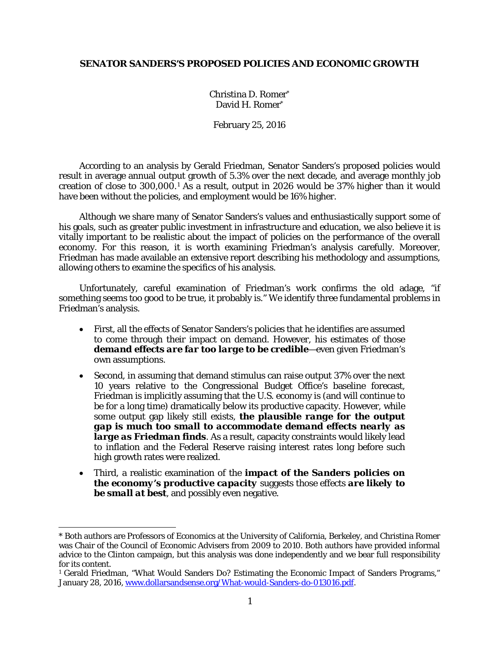### **SENATOR SANDERS'S PROPOSED POLICIES AND ECONOMIC GROWTH**

Christina D. Romer\* David H. Romer\*

February 25, 2016

According to an analysis by Gerald Friedman, Senator Sanders's proposed policies would result in average annual output growth of 5.3% over the next decade, and average monthly job creation of close to 300,000.[1](#page-0-0) As a result, output in 2026 would be 37% higher than it would have been without the policies, and employment would be 16% higher.

Although we share many of Senator Sanders's values and enthusiastically support some of his goals, such as greater public investment in infrastructure and education, we also believe it is vitally important to be realistic about the impact of policies on the performance of the overall economy. For this reason, it is worth examining Friedman's analysis carefully. Moreover, Friedman has made available an extensive report describing his methodology and assumptions, allowing others to examine the specifics of his analysis.

Unfortunately, careful examination of Friedman's work confirms the old adage, "if something seems too good to be true, it probably is." We identify three fundamental problems in Friedman's analysis.

- First, all the effects of Senator Sanders's policies that he identifies are assumed to come through their impact on demand. However, his estimates of those *demand effects are far too large to be credible*—even given Friedman's own assumptions.
- Second, in assuming that demand stimulus can raise output 37% over the next 10 years relative to the Congressional Budget Office's baseline forecast, Friedman is implicitly assuming that the U.S. economy is (and will continue to be for a long time) dramatically below its productive capacity. However, while some output gap likely still exists, *the plausible range for the output gap is much too small to accommodate demand effects nearly as large as Friedman finds*. As a result, capacity constraints would likely lead to inflation and the Federal Reserve raising interest rates long before such high growth rates were realized.
- Third, a realistic examination of the *impact of the Sanders policies on the economy's productive capacity* suggests those effects *are likely to be small at best*, and possibly even negative.

 $\overline{a}$ 

<span id="page-0-0"></span><sup>\*</sup> Both authors are Professors of Economics at the University of California, Berkeley, and Christina Romer was Chair of the Council of Economic Advisers from 2009 to 2010. Both authors have provided informal advice to the Clinton campaign, but this analysis was done independently and we bear full responsibility for its content.

<sup>&</sup>lt;sup>1</sup> Gerald Friedman, "What Would Sanders Do? Estimating the Economic Impact of Sanders Programs," January 28, 2016, [www.dollarsandsense.org/What-would-Sanders-do-013016.pdf.](http://www.dollarsandsense.org/What-would-Sanders-do-013016.pdf)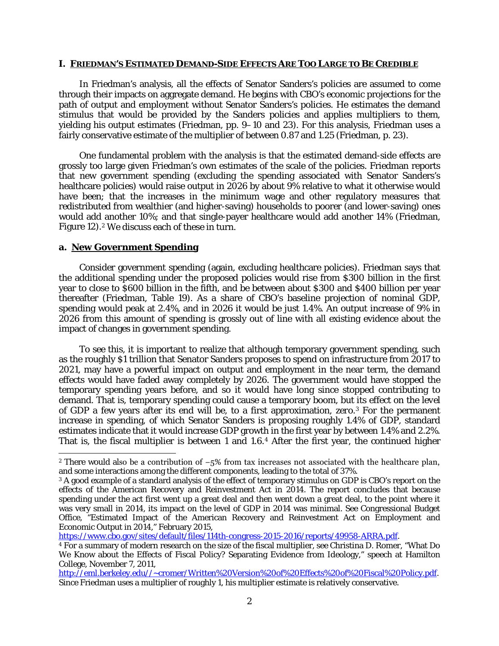#### **I. FRIEDMAN'S ESTIMATED DEMAND-SIDE EFFECTS ARE TOO LARGE TO BE CREDIBLE**

In Friedman's analysis, all the effects of Senator Sanders's policies are assumed to come through their impacts on aggregate demand. He begins with CBO's economic projections for the path of output and employment without Senator Sanders's policies. He estimates the demand stimulus that would be provided by the Sanders policies and applies multipliers to them, yielding his output estimates (Friedman, pp. 9–10 and 23). For this analysis, Friedman uses a fairly conservative estimate of the multiplier of between 0.87 and 1.25 (Friedman, p. 23).

One fundamental problem with the analysis is that the estimated demand-side effects are grossly too large given Friedman's own estimates of the scale of the policies. Friedman reports that new government spending (excluding the spending associated with Senator Sanders's healthcare policies) would raise output in 2026 by about 9% relative to what it otherwise would have been; that the increases in the minimum wage and other regulatory measures that redistributed from wealthier (and higher-saving) households to poorer (and lower-saving) ones would add another 10%; and that single-payer healthcare would add another 14% (Friedman, Figure 1[2](#page-1-0)).<sup>2</sup> We discuss each of these in turn.

#### **a. New Government Spending**

 $\overline{a}$ 

Consider government spending (again, excluding healthcare policies). Friedman says that the additional spending under the proposed policies would rise from \$300 billion in the first year to close to \$600 billion in the fifth, and be between about \$300 and \$400 billion per year thereafter (Friedman, Table 19). As a share of CBO's baseline projection of nominal GDP, spending would peak at 2.4%, and in 2026 it would be just 1.4%. An output increase of 9% in 2026 from this amount of spending is grossly out of line with all existing evidence about the impact of changes in government spending.

To see this, it is important to realize that although temporary government spending, such as the roughly \$1 trillion that Senator Sanders proposes to spend on infrastructure from 2017 to 2021, may have a powerful impact on output and employment in the near term, the demand effects would have faded away completely by 2026. The government would have stopped the temporary spending years before, and so it would have long since stopped contributing to demand. That is, temporary spending could cause a temporary boom, but its effect on the *level* of GDP a few years after its end will be, to a first approximation, *zero*.[3](#page-1-1) For the permanent increase in spending, of which Senator Sanders is proposing roughly 1.4% of GDP, standard estimates indicate that it would increase GDP growth in the first year by between 1.4% and 2.2%. That is, the fiscal multiplier is between 1 and 1.6.[4](#page-1-2) After the first year, the continued higher

[https://www.cbo.gov/sites/default/files/114th-congress-2015-2016/reports/49958-ARRA.pdf.](https://www.cbo.gov/sites/default/files/114th-congress-2015-2016/reports/49958-ARRA.pdf)

<span id="page-1-0"></span><sup>2</sup> There would also be a contribution of −5% from tax increases not associated with the healthcare plan, and some interactions among the different components, leading to the total of 37%.

<span id="page-1-1"></span><sup>3</sup> A good example of a standard analysis of the effect of temporary stimulus on GDP is CBO's report on the effects of the American Recovery and Reinvestment Act in 2014. The report concludes that because spending under the act first went up a great deal and then went down a great deal, to the point where it was very small in 2014, its impact on the level of GDP in 2014 was minimal. See Congressional Budget Office, "Estimated Impact of the American Recovery and Reinvestment Act on Employment and Economic Output in 2014," February 2015,

<span id="page-1-2"></span><sup>4</sup> For a summary of modern research on the size of the fiscal multiplier, see Christina D. Romer, "What Do We Know about the Effects of Fiscal Policy? Separating Evidence from Ideology," speech at Hamilton College, November 7, 2011,

[http://eml.berkeley.edu//~cromer/Written%20Version%20of%20Effects%20of%20Fiscal%20Policy.pdf.](http://eml.berkeley.edu/~cromer/Written%20Version%20of%20Effects%20of%20Fiscal%20Policy.pdf) Since Friedman uses a multiplier of roughly 1, his multiplier estimate is relatively conservative.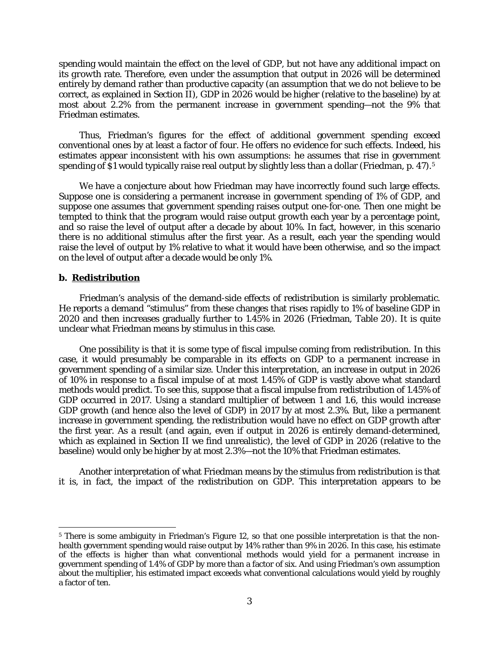spending would maintain the effect on the *level* of GDP, but not have any additional impact on its *growth* rate. Therefore, even under the assumption that output in 2026 will be determined entirely by demand rather than productive capacity (an assumption that we do not believe to be correct, as explained in Section II), GDP in 2026 would be higher (relative to the baseline) by at most about 2.2% from the permanent increase in government spending—not the 9% that Friedman estimates.

Thus, Friedman's figures for the effect of additional government spending exceed conventional ones by at least a factor of four. He offers no evidence for such effects. Indeed, his estimates appear inconsistent with his own assumptions: he assumes that rise in government spending of \$1 would typically raise real output by slightly less than a dollar (Friedman, p. 47).<sup>[5](#page-2-0)</sup>

We have a conjecture about how Friedman may have incorrectly found such large effects. Suppose one is considering a permanent increase in government spending of 1% of GDP, and suppose one assumes that government spending raises output one-for-one. Then one might be tempted to think that the program would raise output *growth* each year by a percentage point, and so raise the *level* of output after a decade by about 10%. In fact, however, in this scenario there is no additional stimulus after the first year. As a result, each year the spending would raise the *level* of output by 1% relative to what it would have been otherwise, and so the impact on the level of output after a decade would be only 1%.

#### **b. Redistribution**

 $\overline{a}$ 

Friedman's analysis of the demand-side effects of redistribution is similarly problematic. He reports a demand "stimulus" from these changes that rises rapidly to 1% of baseline GDP in 2020 and then increases gradually further to 1.45% in 2026 (Friedman, Table 20). It is quite unclear what Friedman means by stimulus in this case.

One possibility is that it is some type of fiscal impulse coming from redistribution. In this case, it would presumably be comparable in its effects on GDP to a permanent increase in government spending of a similar size. Under this interpretation, an increase in output in 2026 of 10% in response to a fiscal impulse of at most 1.45% of GDP is vastly above what standard methods would predict. To see this, suppose that a fiscal impulse from redistribution of 1.45% of GDP occurred in 2017. Using a standard multiplier of between 1 and 1.6, this would increase GDP growth (and hence also the level of GDP) in 2017 by at most 2.3%. But, like a permanent increase in government spending, the redistribution would have no effect on GDP *growth* after the first year. As a result (and again, even if output in 2026 is entirely demand-determined, which as explained in Section II we find unrealistic), the *level* of GDP in 2026 (relative to the baseline) would only be higher by at most 2.3%—not the 10% that Friedman estimates.

Another interpretation of what Friedman means by the stimulus from redistribution is that it is, in fact, the impact of the redistribution on GDP. This interpretation appears to be

<span id="page-2-0"></span><sup>5</sup> There is some ambiguity in Friedman's Figure 12, so that one possible interpretation is that the nonhealth government spending would raise output by 14% rather than 9% in 2026. In this case, his estimate of the effects is higher than what conventional methods would yield for a permanent increase in government spending of 1.4% of GDP by more than a factor of six. And using Friedman's own assumption about the multiplier, his estimated impact exceeds what conventional calculations would yield by roughly a factor of ten.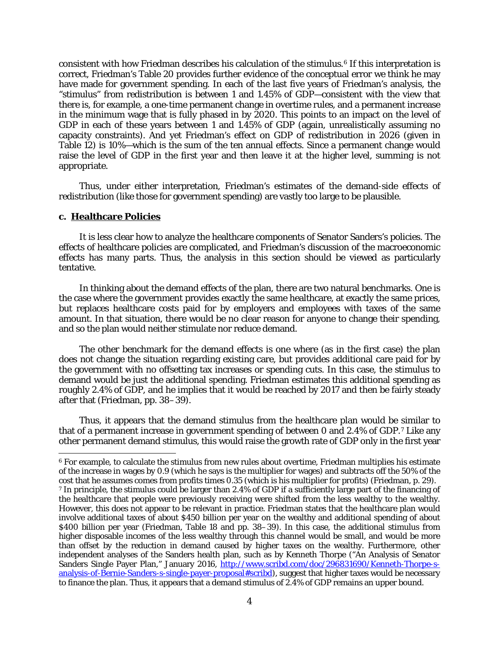consistent with how Friedman describes his calculation of the stimulus.[6](#page-3-0) If this interpretation is correct, Friedman's Table 20 provides further evidence of the conceptual error we think he may have made for government spending. In each of the last five years of Friedman's analysis, the "stimulus" from redistribution is between 1 and 1.45% of GDP—consistent with the view that there is, for example, a one-time permanent change in overtime rules, and a permanent increase in the minimum wage that is fully phased in by 2020. This points to an impact on the level of GDP in each of these years between 1 and 1.45% of GDP (again, unrealistically assuming no capacity constraints). And yet Friedman's effect on GDP of redistribution in 2026 (given in Table 12) is 10%—which is the sum of the ten annual effects. Since a permanent change would raise the level of GDP in the first year and then leave it at the higher level, summing is not appropriate.

Thus, under either interpretation, Friedman's estimates of the demand-side effects of redistribution (like those for government spending) are vastly too large to be plausible.

#### **c. Healthcare Policies**

 $\overline{a}$ 

It is less clear how to analyze the healthcare components of Senator Sanders's policies. The effects of healthcare policies are complicated, and Friedman's discussion of the macroeconomic effects has many parts. Thus, the analysis in this section should be viewed as particularly tentative.

In thinking about the demand effects of the plan, there are two natural benchmarks. One is the case where the government provides exactly the same healthcare, at exactly the same prices, but replaces healthcare costs paid for by employers and employees with taxes of the same amount. In that situation, there would be no clear reason for anyone to change their spending, and so the plan would neither stimulate nor reduce demand.

The other benchmark for the demand effects is one where (as in the first case) the plan does not change the situation regarding existing care, but provides additional care paid for by the government with no offsetting tax increases or spending cuts. In this case, the stimulus to demand would be just the additional spending. Friedman estimates this additional spending as roughly 2.4% of GDP, and he implies that it would be reached by 2017 and then be fairly steady after that (Friedman, pp. 38–39).

Thus, it appears that the demand stimulus from the healthcare plan would be similar to that of a permanent increase in government spending of between 0 and 2.4% of GDP.[7](#page-3-1) Like any other permanent demand stimulus, this would raise the growth rate of GDP only in the first year

<span id="page-3-1"></span><span id="page-3-0"></span><sup>6</sup> For example, to calculate the stimulus from new rules about overtime, Friedman multiplies his estimate of the increase in wages by 0.9 (which he says is the multiplier for wages) and subtracts off the 50% of the cost that he assumes comes from profits times 0.35 (which is his multiplier for profits) (Friedman, p. 29). <sup>7</sup> In principle, the stimulus could be larger than 2.4% of GDP if a sufficiently large part of the financing of the healthcare that people were previously receiving were shifted from the less wealthy to the wealthy. However, this does not appear to be relevant in practice. Friedman states that the healthcare plan would involve additional taxes of about \$450 billion per year on the wealthy and additional spending of about \$400 billion per year (Friedman, Table 18 and pp. 38–39). In this case, the additional stimulus from higher disposable incomes of the less wealthy through this channel would be small, and would be more than offset by the reduction in demand caused by higher taxes on the wealthy. Furthermore, other independent analyses of the Sanders health plan, such as by Kenneth Thorpe ("An Analysis of Senator Sanders Single Payer Plan," January 2016, [http://www.scribd.com/doc/296831690/Kenneth-Thorpe-s](http://www.scribd.com/doc/296831690/Kenneth-Thorpe-s-analysis-of-Bernie-Sanders-s-single-payer-proposal#scribd)[analysis-of-Bernie-Sanders-s-single-payer-proposal#scribd\)](http://www.scribd.com/doc/296831690/Kenneth-Thorpe-s-analysis-of-Bernie-Sanders-s-single-payer-proposal#scribd), suggest that higher taxes would be necessary to finance the plan. Thus, it appears that a demand stimulus of 2.4% of GDP remains an upper bound.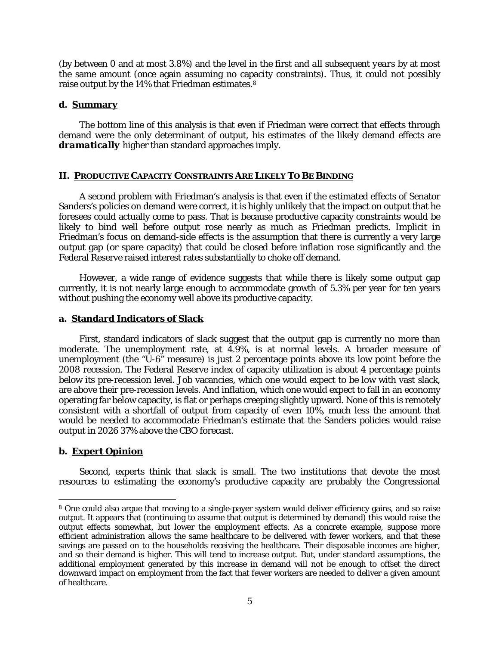(by between 0 and at most 3.8%) and the level in the first and *all subsequent years* by at most the same amount (once again assuming no capacity constraints). Thus, it could not possibly raise output by the 14% that Friedman estimates.[8](#page-4-0)

#### **d. Summary**

The bottom line of this analysis is that even if Friedman were correct that effects through demand were the only determinant of output, his estimates of the likely demand effects are *dramatically* higher than standard approaches imply.

#### **II. PRODUCTIVE CAPACITY CONSTRAINTS ARE LIKELY TO BE BINDING**

A second problem with Friedman's analysis is that even if the estimated effects of Senator Sanders's policies on demand were correct, it is highly unlikely that the impact on output that he foresees could actually come to pass. That is because productive capacity constraints would be likely to bind well before output rose nearly as much as Friedman predicts. Implicit in Friedman's focus on demand-side effects is the assumption that there is currently a very large output gap (or spare capacity) that could be closed before inflation rose significantly and the Federal Reserve raised interest rates substantially to choke off demand.

However, a wide range of evidence suggests that while there is likely some output gap currently, it is not nearly large enough to accommodate growth of 5.3% per year for ten years without pushing the economy well above its productive capacity.

### **a. Standard Indicators of Slack**

First, standard indicators of slack suggest that the output gap is currently no more than moderate. The unemployment rate, at 4.9%, is at normal levels. A broader measure of unemployment (the "U-6" measure) is just 2 percentage points above its low point before the 2008 recession. The Federal Reserve index of capacity utilization is about 4 percentage points below its pre-recession level. Job vacancies, which one would expect to be low with vast slack, are above their pre-recession levels. And inflation, which one would expect to fall in an economy operating far below capacity, is flat or perhaps creeping slightly upward. None of this is remotely consistent with a shortfall of output from capacity of even 10%, much less the amount that would be needed to accommodate Friedman's estimate that the Sanders policies would raise output in 2026 37% above the CBO forecast.

### **b. Expert Opinion**

 $\overline{a}$ 

Second, experts think that slack is small. The two institutions that devote the most resources to estimating the economy's productive capacity are probably the Congressional

<span id="page-4-0"></span><sup>8</sup> One could also argue that moving to a single-payer system would deliver efficiency gains, and so raise output. It appears that (continuing to assume that output is determined by demand) this would raise the output effects somewhat, but lower the employment effects. As a concrete example, suppose more efficient administration allows the same healthcare to be delivered with fewer workers, and that these savings are passed on to the households receiving the healthcare. Their disposable incomes are higher, and so their demand is higher. This will tend to increase output. But, under standard assumptions, the additional employment generated by this increase in demand will not be enough to offset the direct downward impact on employment from the fact that fewer workers are needed to deliver a given amount of healthcare.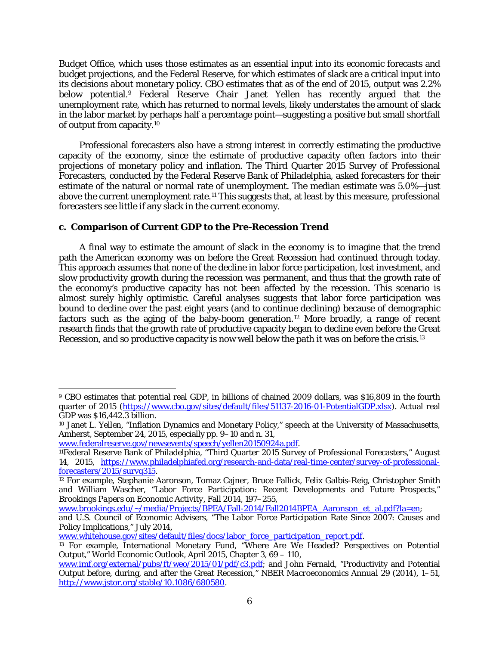Budget Office, which uses those estimates as an essential input into its economic forecasts and budget projections, and the Federal Reserve, for which estimates of slack are a critical input into its decisions about monetary policy. CBO estimates that as of the end of 2015, output was 2.2% below potential.[9](#page-5-0) Federal Reserve Chair Janet Yellen has recently argued that the unemployment rate, which has returned to normal levels, likely understates the amount of slack in the labor market by perhaps half a percentage point—suggesting a positive but small shortfall of output from capacity.[10](#page-5-1)

Professional forecasters also have a strong interest in correctly estimating the productive capacity of the economy, since the estimate of productive capacity often factors into their projections of monetary policy and inflation. The Third Quarter 2015 Survey of Professional Forecasters, conducted by the Federal Reserve Bank of Philadelphia, asked forecasters for their estimate of the natural or normal rate of unemployment. The median estimate was 5.0%—just above the current unemployment rate.[11](#page-5-2) This suggests that, at least by this measure, professional forecasters see little if any slack in the current economy.

# **c. Comparison of Current GDP to the Pre-Recession Trend**

A final way to estimate the amount of slack in the economy is to imagine that the trend path the American economy was on before the Great Recession had continued through today. This approach assumes that none of the decline in labor force participation, lost investment, and slow productivity growth during the recession was permanent, and thus that the growth rate of the economy's productive capacity has not been affected by the recession. This scenario is almost surely highly optimistic. Careful analyses suggests that labor force participation was bound to decline over the past eight years (and to continue declining) because of demographic factors such as the aging of the baby-boom generation.<sup>[12](#page-5-3)</sup> More broadly, a range of recent research finds that the growth rate of productive capacity began to decline even before the Great Recession, and so productive capacity is now well below the path it was on before the crisis[.13](#page-5-4)

[www.federalreserve.gov/newsevents/speech/yellen20150924a.pdf.](http://www.federalreserve.gov/newsevents/speech/yellen20150924a.pdf)

<span id="page-5-0"></span> $\overline{a}$ <sup>9</sup> CBO estimates that potential real GDP, in billions of chained 2009 dollars, was \$16,809 in the fourth quarter of 2015 [\(https://www.cbo.gov/sites/default/files/51137-2016-01-PotentialGDP.xlsx\)](https://www.cbo.gov/sites/default/files/51137-2016-01-PotentialGDP.xlsx). Actual real GDP was \$16,442.3 billion.

<span id="page-5-1"></span><sup>10</sup> Janet L. Yellen, "Inflation Dynamics and Monetary Policy," speech at the University of Massachusetts, Amherst, September 24, 2015, especially pp. 9–10 and n. 31,

<span id="page-5-2"></span><sup>11</sup>Federal Reserve Bank of Philadelphia, "Third Quarter 2015 Survey of Professional Forecasters," August 14, 2015, [https://www.philadelphiafed.org/research-and-data/real-time-center/survey-of-professional](https://www.philadelphiafed.org/research-and-data/real-time-center/survey-of-professional-forecasters/2015/survq315)[forecasters/2015/survq315.](https://www.philadelphiafed.org/research-and-data/real-time-center/survey-of-professional-forecasters/2015/survq315)

<span id="page-5-3"></span><sup>12</sup> For example, Stephanie Aaronson, Tomaz Cajner, Bruce Fallick, Felix Galbis-Reig, Christopher Smith and William Wascher, "Labor Force Participation: Recent Developments and Future Prospects," *Brookings Papers on Economic Activity*, Fall 2014, 197–255,

[www.brookings.edu/~/media/Projects/BPEA/Fall-2014/Fall2014BPEA\\_Aaronson\\_et\\_al.pdf?la=en;](http://www.brookings.edu/~/media/Projects/BPEA/Fall-2014/Fall2014BPEA_Aaronson_et_al.pdf?la=en)

and U.S. Council of Economic Advisers, "The Labor Force Participation Rate Since 2007: Causes and Policy Implications," July 2014,

[www.whitehouse.gov/sites/default/files/docs/labor\\_force\\_participation\\_report.pdf.](http://www.whitehouse.gov/sites/default/files/docs/labor_force_participation_report.pdf)

<span id="page-5-4"></span><sup>13</sup> For example, International Monetary Fund, "Where Are We Headed? Perspectives on Potential Output," *World Economic Outlook*, April 2015, Chapter 3, 69 – 110,

[www.imf.org/external/pubs/ft/weo/2015/01/pdf/c3.pdf;](http://www.imf.org/external/pubs/ft/weo/2015/01/pdf/c3.pdf) and John Fernald, "Productivity and Potential Output before, during, and after the Great Recession," *NBER Macroeconomics Annual* 29 (2014), 1–51, [http://www.jstor.org/stable/10.1086/680580.](http://www.jstor.org/stable/10.1086/680580)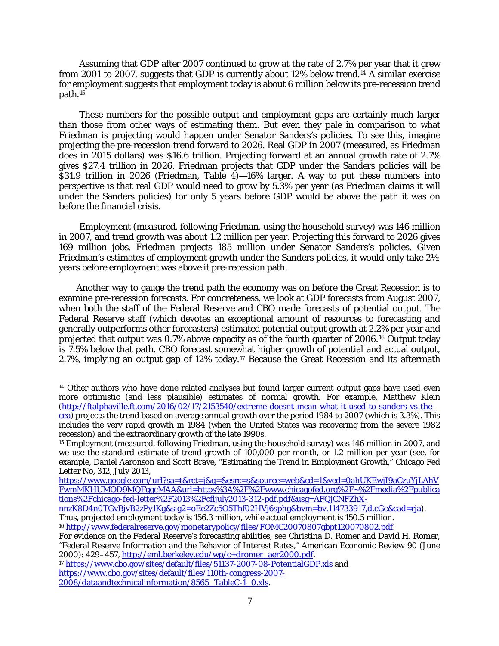Assuming that GDP after 2007 continued to grow at the rate of 2.7% per year that it grew from 2001 to 2007, suggests that GDP is currently about 12% below trend.[14](#page-6-0) A similar exercise for employment suggests that employment today is about 6 million below its pre-recession trend path.[15](#page-6-1)

These numbers for the possible output and employment gaps are certainly much larger than those from other ways of estimating them. But even they pale in comparison to what Friedman is projecting would happen under Senator Sanders's policies. To see this, imagine projecting the pre-recession trend forward to 2026. Real GDP in 2007 (measured, as Friedman does in 2015 dollars) was \$16.6 trillion. Projecting forward at an annual growth rate of 2.7% gives \$27.4 trillion in 2026. Friedman projects that GDP under the Sanders policies will be  $$31.9$  trillion in 2026 (Friedman, Table 4) $-16\%$  larger. A way to put these numbers into perspective is that real GDP would need to grow by 5.3% per year (as Friedman claims it will under the Sanders policies) for only 5 years before GDP would be above the path it was on before the financial crisis.

Employment (measured, following Friedman, using the household survey) was 146 million in 2007, and trend growth was about 1.2 million per year. Projecting this forward to 2026 gives 169 million jobs. Friedman projects 185 million under Senator Sanders's policies. Given Friedman's estimates of employment growth under the Sanders policies, it would only take 2½ years before employment was above it pre-recession path.

Another way to gauge the trend path the economy was on before the Great Recession is to examine pre-recession forecasts. For concreteness, we look at GDP forecasts from August 2007, when both the staff of the Federal Reserve and CBO made forecasts of potential output. The Federal Reserve staff (which devotes an exceptional amount of resources to forecasting and generally outperforms other forecasters) estimated potential output growth at 2.2% per year and projected that output was 0.7% above capacity as of the fourth quarter of 2006.[16](#page-6-2) Output today is 7.5% below that path. CBO forecast somewhat higher growth of potential and actual output, 2.7%, implying an output gap of 12% today.[17](#page-6-3) Because the Great Recession and its aftermath

 $\overline{a}$ 

<span id="page-6-0"></span><sup>&</sup>lt;sup>14</sup> Other authors who have done related analyses but found larger current output gaps have used even more optimistic (and less plausible) estimates of normal growth. For example, Matthew Klein [\(http://ftalphaville.ft.com/2016/02/17/2153540/extreme-doesnt-mean-what-it-used-to-sanders-vs-the](http://ftalphaville.ft.com/2016/02/17/2153540/extreme-doesnt-mean-what-it-used-to-sanders-vs-the-cea/)[cea\)](http://ftalphaville.ft.com/2016/02/17/2153540/extreme-doesnt-mean-what-it-used-to-sanders-vs-the-cea/) projects the trend based on average annual growth over the period 1984 to 2007 (which is 3.3%). This includes the very rapid growth in 1984 (when the United States was recovering from the severe 1982 recession) and the extraordinary growth of the late 1990s.

<span id="page-6-1"></span><sup>15</sup> Employment (measured, following Friedman, using the household survey) was 146 million in 2007, and we use the standard estimate of trend growth of 100,000 per month, or 1.2 million per year (see, for example, Daniel Aaronson and Scott Brave, "Estimating the Trend in Employment Growth," Chicago Fed Letter No, 312, July 2013,

[https://www.google.com/url?sa=t&rct=j&q=&esrc=s&source=web&cd=1&ved=0ahUKEwjI9aCzuYjLAhV](https://www.google.com/url?sa=t&rct=j&q=&esrc=s&source=web&cd=1&ved=0ahUKEwjI9aCzuYjLAhVFwmMKHUMQD9MQFggcMAA&url=https%3A%2F%2Fwww.chicagofed.org%2F~%2Fmedia%2Fpublications%2Fchicago-fed-letter%2F2013%2Fcfljuly2013-312-pdf.pdf&usg=AFQjCNFZhX-nnzK8D4n0TGvBjvB2zPy1Kg&sig2=oEe2Zc5O5Thf02HVj6sphg&bvm=bv.114733917,d.cGc&cad=rja) [FwmMKHUMQD9MQFggcMAA&url=https%3A%2F%2Fwww.chicagofed.org%2F~%2Fmedia%2Fpublica](https://www.google.com/url?sa=t&rct=j&q=&esrc=s&source=web&cd=1&ved=0ahUKEwjI9aCzuYjLAhVFwmMKHUMQD9MQFggcMAA&url=https%3A%2F%2Fwww.chicagofed.org%2F~%2Fmedia%2Fpublications%2Fchicago-fed-letter%2F2013%2Fcfljuly2013-312-pdf.pdf&usg=AFQjCNFZhX-nnzK8D4n0TGvBjvB2zPy1Kg&sig2=oEe2Zc5O5Thf02HVj6sphg&bvm=bv.114733917,d.cGc&cad=rja) [tions%2Fchicago-fed-letter%2F2013%2Fcfljuly2013-312-pdf.pdf&usg=AFQjCNFZhX-](https://www.google.com/url?sa=t&rct=j&q=&esrc=s&source=web&cd=1&ved=0ahUKEwjI9aCzuYjLAhVFwmMKHUMQD9MQFggcMAA&url=https%3A%2F%2Fwww.chicagofed.org%2F~%2Fmedia%2Fpublications%2Fchicago-fed-letter%2F2013%2Fcfljuly2013-312-pdf.pdf&usg=AFQjCNFZhX-nnzK8D4n0TGvBjvB2zPy1Kg&sig2=oEe2Zc5O5Thf02HVj6sphg&bvm=bv.114733917,d.cGc&cad=rja)

[nnzK8D4n0TGvBjvB2zPy1Kg&sig2=oEe2Zc5O5Thf02HVj6sphg&bvm=bv.114733917,d.cGc&cad=rja\)](https://www.google.com/url?sa=t&rct=j&q=&esrc=s&source=web&cd=1&ved=0ahUKEwjI9aCzuYjLAhVFwmMKHUMQD9MQFggcMAA&url=https%3A%2F%2Fwww.chicagofed.org%2F~%2Fmedia%2Fpublications%2Fchicago-fed-letter%2F2013%2Fcfljuly2013-312-pdf.pdf&usg=AFQjCNFZhX-nnzK8D4n0TGvBjvB2zPy1Kg&sig2=oEe2Zc5O5Thf02HVj6sphg&bvm=bv.114733917,d.cGc&cad=rja). Thus, projected employment today is 156.3 million, while actual employment is 150.5 million. <sup>16</sup> [http://www.federalreserve.gov/monetarypolicy/files/FOMC20070807gbpt120070802.pdf.](http://www.federalreserve.gov/monetarypolicy/files/FOMC20070807gbpt120070802.pdf)

<span id="page-6-2"></span>For evidence on the Federal Reserve's forecasting abilities, see Christina D. Romer and David H. Romer,

<sup>&</sup>quot;Federal Reserve Information and the Behavior of Interest Rates," *American Economic Review* 90 (June 2000): 429–457[, http://eml.berkeley.edu/wp/c+dromer\\_aer2000.pdf.](http://eml.berkeley.edu/wp/c+dromer_aer2000.pdf)

<span id="page-6-3"></span><sup>&</sup>lt;sup>17</sup> <https://www.cbo.gov/sites/default/files/51137-2007-08-PotentialGDP.xls> and [https://www.cbo.gov/sites/default/files/110th-congress-2007-](https://www.cbo.gov/sites/default/files/110th-congress-2007-2008/dataandtechnicalinformation/8565_TableC-1_0.xls) [2008/dataandtechnicalinformation/8565\\_TableC-1\\_0.xls.](https://www.cbo.gov/sites/default/files/110th-congress-2007-2008/dataandtechnicalinformation/8565_TableC-1_0.xls)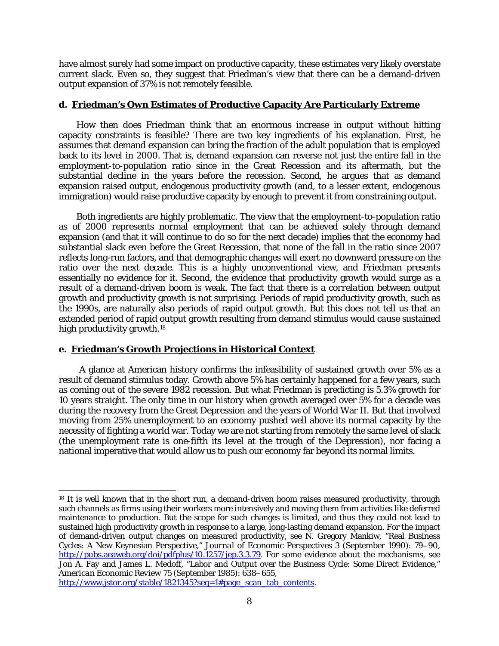have almost surely had some impact on productive capacity, these estimates very likely overstate current slack. Even so, they suggest that Friedman's view that there can be a demand-driven output expansion of 37% is not remotely feasible.

# **d. Friedman's Own Estimates of Productive Capacity Are Particularly Extreme**

How then does Friedman think that an enormous increase in output without hitting capacity constraints is feasible? There are two key ingredients of his explanation. First, he assumes that demand expansion can bring the fraction of the adult population that is employed back to its level in 2000. That is, demand expansion can reverse not just the entire fall in the employment-to-population ratio since in the Great Recession and its aftermath, but the substantial decline in the years before the recession. Second, he argues that as demand expansion raised output, endogenous productivity growth (and, to a lesser extent, endogenous immigration) would raise productive capacity by enough to prevent it from constraining output.

Both ingredients are highly problematic. The view that the employment-to-population ratio as of 2000 represents normal employment that can be achieved solely through demand expansion (and that it will continue to do so for the next decade) implies that the economy had substantial slack even before the Great Recession, that *none* of the fall in the ratio since 2007 reflects long-run factors, and that demographic changes will exert no downward pressure on the ratio over the next decade. This is a highly unconventional view, and Friedman presents essentially no evidence for it. Second, the evidence that productivity growth would surge as a result of a demand-driven boom is weak. The fact that there is a *correlation* between output growth and productivity growth is not surprising. Periods of rapid productivity growth, such as the 1990s, are naturally also periods of rapid output growth. But this does not tell us that an extended period of rapid output growth resulting from demand stimulus would *cause* sustained high productivity growth.<sup>[18](#page-7-0)</sup>

### **e. Friedman's Growth Projections in Historical Context**

A glance at American history confirms the infeasibility of sustained growth over 5% as a result of demand stimulus today. Growth above 5% has certainly happened for a few years, such as coming out of the severe 1982 recession. But what Friedman is predicting is 5.3% growth for 10 years straight. The only time in our history when growth averaged over 5% for a decade was during the recovery from the Great Depression and the years of World War II. But that involved moving from 25% unemployment to an economy pushed well above its normal capacity by the necessity of fighting a world war. Today we are not starting from remotely the same level of slack (the unemployment rate is *one-fifth* its level at the trough of the Depression), nor facing a national imperative that would allow us to push our economy far beyond its normal limits.

<span id="page-7-0"></span> $\overline{a}$ <sup>18</sup> It is well known that in the short run, a demand-driven boom raises measured productivity, through such channels as firms using their workers more intensively and moving them from activities like deferred maintenance to production. But the scope for such changes is limited, and thus they could not lead to sustained high productivity growth in response to a large, long-lasting demand expansion. For the impact of demand-driven output changes on measured productivity, see N. Gregory Mankiw, "Real Business Cycles: A New Keynesian Perspective," *Journal of Economic Perspectives* 3 (September 1990): 79–90, [http://pubs.aeaweb.org/doi/pdfplus/10.1257/jep.3.3.79.](http://pubs.aeaweb.org/doi/pdfplus/10.1257/jep.3.3.79) For some evidence about the mechanisms, see Jon A. Fay and James L. Medoff, "Labor and Output over the Business Cycle: Some Direct Evidence," *American Economic Review* 75 (September 1985): 638–655, [http://www.jstor.org/stable/1821345?seq=1#page\\_scan\\_tab\\_contents.](http://www.jstor.org/stable/1821345?seq=1#page_scan_tab_contents)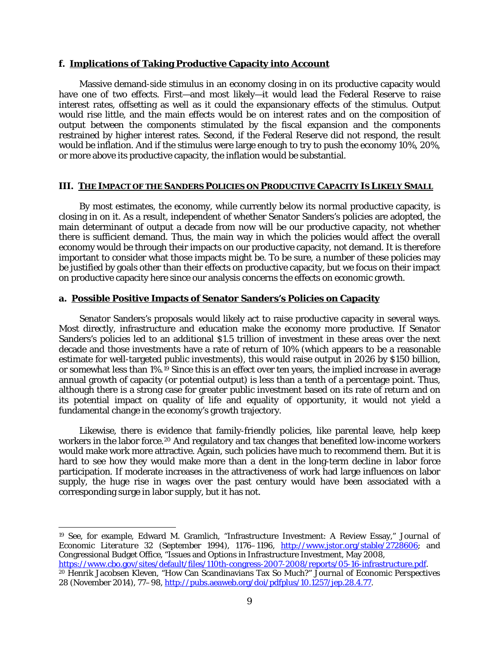#### **f. Implications of Taking Productive Capacity into Account**

Massive demand-side stimulus in an economy closing in on its productive capacity would have one of two effects. First—and most likely—it would lead the Federal Reserve to raise interest rates, offsetting as well as it could the expansionary effects of the stimulus. Output would rise little, and the main effects would be on interest rates and on the composition of output between the components stimulated by the fiscal expansion and the components restrained by higher interest rates. Second, if the Federal Reserve did not respond, the result would be inflation. And if the stimulus were large enough to try to push the economy 10%, 20%, or more above its productive capacity, the inflation would be substantial.

### **III. THE IMPACT OF THE SANDERS POLICIES ON PRODUCTIVE CAPACITY IS LIKELY SMALL**

By most estimates, the economy, while currently below its normal productive capacity, is closing in on it. As a result, independent of whether Senator Sanders's policies are adopted, the main determinant of output a decade from now will be our productive capacity, not whether there is sufficient demand. Thus, the main way in which the policies would affect the overall economy would be through their impacts on our productive capacity, not demand. It is therefore important to consider what those impacts might be. To be sure, a number of these policies may be justified by goals other than their effects on productive capacity, but we focus on their impact on productive capacity here since our analysis concerns the effects on economic growth.

#### **a. Possible Positive Impacts of Senator Sanders's Policies on Capacity**

Senator Sanders's proposals would likely act to raise productive capacity in several ways. Most directly, infrastructure and education make the economy more productive. If Senator Sanders's policies led to an additional \$1.5 trillion of investment in these areas over the next decade and those investments have a rate of return of 10% (which appears to be a reasonable estimate for well-targeted public investments), this would raise output in 2026 by \$150 billion, or somewhat less than 1%.[19](#page-8-0) Since this is an effect over ten years, the implied increase in average annual growth of capacity (or potential output) is less than a tenth of a percentage point. Thus, although there is a strong case for greater public investment based on its rate of return and on its potential impact on quality of life and equality of opportunity, it would not yield a fundamental change in the economy's growth trajectory.

Likewise, there is evidence that family-friendly policies, like parental leave, help keep workers in the labor force.<sup>[20](#page-8-1)</sup> And regulatory and tax changes that benefited low-income workers would make work more attractive. Again, such policies have much to recommend them. But it is hard to see how they would make more than a dent in the long-term decline in labor force participation. If moderate increases in the attractiveness of work had large influences on labor supply, the huge rise in wages over the past century would have been associated with a corresponding surge in labor supply, but it has not.

<span id="page-8-0"></span><sup>19</sup> See, for example, Edward M. Gramlich, "Infrastructure Investment: A Review Essay," *Journal of Economic Literature* 32 (September 1994), 1176–1196, [http://www.jstor.org/stable/2728606;](http://www.jstor.org/stable/2728606) and Congressional Budget Office, "Issues and Options in Infrastructure Investment, May 2008, [https://www.cbo.gov/sites/default/files/110th-congress-2007-2008/reports/05-16-infrastructure.pdf.](https://www.cbo.gov/sites/default/files/110th-congress-2007-2008/reports/05-16-infrastructure.pdf)

 $\overline{a}$ 

<span id="page-8-1"></span><sup>20</sup> Henrik Jacobsen Kleven, "How Can Scandinavians Tax So Much?" *Journal of Economic Perspectives* 28 (November 2014), 77–98, [http://pubs.aeaweb.org/doi/pdfplus/10.1257/jep.28.4.77.](http://pubs.aeaweb.org/doi/pdfplus/10.1257/jep.28.4.77)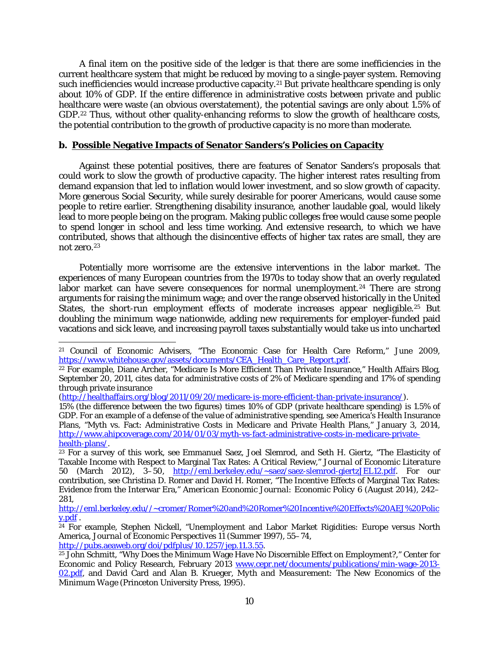A final item on the positive side of the ledger is that there are some inefficiencies in the current healthcare system that might be reduced by moving to a single-payer system. Removing such inefficiencies would increase productive capacity.<sup>[21](#page-9-0)</sup> But private healthcare spending is only about 10% of GDP. If the entire difference in administrative costs between private and public healthcare were waste (an obvious overstatement), the potential savings are only about 1.5% of GDP.<sup>22</sup> Thus, without other quality-enhancing reforms to slow the growth of healthcare costs, the potential contribution to the growth of productive capacity is no more than moderate.

# **b. Possible Negative Impacts of Senator Sanders's Policies on Capacity**

Against these potential positives, there are features of Senator Sanders's proposals that could work to slow the growth of productive capacity. The higher interest rates resulting from demand expansion that led to inflation would lower investment, and so slow growth of capacity. More generous Social Security, while surely desirable for poorer Americans, would cause some people to retire earlier. Strengthening disability insurance, another laudable goal, would likely lead to more people being on the program. Making public colleges free would cause some people to spend longer in school and less time working. And extensive research, to which we have contributed, shows that although the disincentive effects of higher tax rates are small, they are not zero.[23](#page-9-2)

Potentially more worrisome are the extensive interventions in the labor market. The experiences of many European countries from the 1970s to today show that an overly regulated labor market can have severe consequences for normal unemployment.<sup>[24](#page-9-3)</sup> There are strong arguments for raising the minimum wage; and over the range observed historically in the United States, the short-run employment effects of moderate increases appear negligible.<sup>[25](#page-9-4)</sup> But doubling the minimum wage nationwide, adding new requirements for employer-funded paid vacations and sick leave, and increasing payroll taxes substantially would take us into uncharted

<span id="page-9-0"></span> $\overline{a}$ <sup>21</sup> Council of Economic Advisers, "The Economic Case for Health Care Reform," June 2009, [https://www.whitehouse.gov/assets/documents/CEA\\_Health\\_Care\\_Report.pdf.](https://www.whitehouse.gov/assets/documents/CEA_Health_Care_Report.pdf)

<span id="page-9-1"></span><sup>22</sup> For example, Diane Archer, "Medicare Is More Efficient Than Private Insurance," Health Affairs Blog, September 20, 2011, cites data for administrative costs of 2% of Medicare spending and 17% of spending through private insurance

[<sup>\(</sup>http://healthaffairs.org/blog/2011/09/20/medicare-is-more-efficient-than-private-insurance/\)](http://healthaffairs.org/blog/2011/09/20/medicare-is-more-efficient-than-private-insurance/).

<sup>15% (</sup>the difference between the two figures) times 10% of GDP (private healthcare spending) is 1.5% of GDP. For an example of a defense of the value of administrative spending, see America's Health Insurance Plans, "Myth vs. Fact: Administrative Costs in Medicare and Private Health Plans," January 3, 2014, [http://www.ahipcoverage.com/2014/01/03/myth-vs-fact-administrative-costs-in-medicare-private](http://www.ahipcoverage.com/2014/01/03/myth-vs-fact-administrative-costs-in-medicare-private-health-plans/)[health-plans/.](http://www.ahipcoverage.com/2014/01/03/myth-vs-fact-administrative-costs-in-medicare-private-health-plans/)

<span id="page-9-2"></span><sup>&</sup>lt;sup>23</sup> For a survey of this work, see Emmanuel Saez, Joel Slemrod, and Seth H. Giertz, "The Elasticity of Taxable Income with Respect to Marginal Tax Rates: A Critical Review," *Journal of Economic Literature* 50 (March 2012), 3-50, [http://eml.berkeley.edu/~saez/saez-slemrod-giertzJEL12.pdf.](http://eml.berkeley.edu/~saez/saez-slemrod-giertzJEL12.pdf) For our contribution, see Christina D. Romer and David H. Romer, "The Incentive Effects of Marginal Tax Rates: Evidence from the Interwar Era," *American Economic Journal: Economic Policy* 6 (August 2014), 242– 281,

[http://eml.berkeley.edu//~cromer/Romer%20and%20Romer%20Incentive%20Effects%20AEJ%20Polic](http://eml.berkeley.edu/~cromer/Romer%20and%20Romer%20Incentive%20Effects%20AEJ%20Policy.pdf) [y.pdf](http://eml.berkeley.edu/~cromer/Romer%20and%20Romer%20Incentive%20Effects%20AEJ%20Policy.pdf) .

<span id="page-9-3"></span><sup>&</sup>lt;sup>24</sup> For example, Stephen Nickell, "Unemployment and Labor Market Rigidities: Europe versus North America, *Journal of Economic Perspectives* 11 (Summer 1997), 55–74, [http://pubs.aeaweb.org/doi/pdfplus/10.1257/jep.11.3.55.](http://pubs.aeaweb.org/doi/pdfplus/10.1257/jep.11.3.55)

<span id="page-9-4"></span><sup>&</sup>lt;sup>25</sup> John Schmitt, "Why Does the Minimum Wage Have No Discernible Effect on Employment?," Center for Economic and Policy Research, February 2013 [www.cepr.net/documents/publications/min-wage-2013-](http://www.cepr.net/documents/publications/min-wage-2013-02.pdf) [02.pdf,](http://www.cepr.net/documents/publications/min-wage-2013-02.pdf) and David Card and Alan B. Krueger, *Myth and Measurement: The New Economics of the Minimum Wage* (Princeton University Press, 1995).